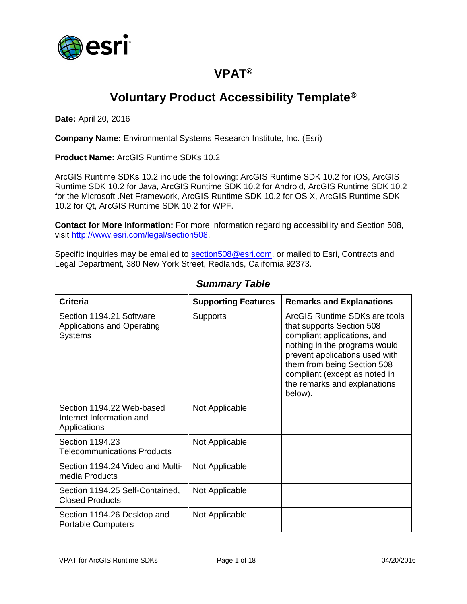

## **VPAT®**

# **Voluntary Product Accessibility Template®**

**Date:** April 20, 2016

**Company Name:** Environmental Systems Research Institute, Inc. (Esri)

**Product Name:** ArcGIS Runtime SDKs 10.2

ArcGIS Runtime SDKs 10.2 include the following: ArcGIS Runtime SDK 10.2 for iOS, ArcGIS Runtime SDK 10.2 for Java, ArcGIS Runtime SDK 10.2 for Android, ArcGIS Runtime SDK 10.2 for the Microsoft .Net Framework, ArcGIS Runtime SDK 10.2 for OS X, ArcGIS Runtime SDK 10.2 for Qt, ArcGIS Runtime SDK 10.2 for WPF.

**Contact for More Information:** For more information regarding accessibility and Section 508, visit [http://www.esri.com/legal/section508.](http://www.esri.com/legal/section508)

Specific inquiries may be emailed to [section508@esri.com,](mailto:section508@esri.com) or mailed to Esri, Contracts and Legal Department, 380 New York Street, Redlands, California 92373.

| <b>Criteria</b>                                                                 | <b>Supporting Features</b> | <b>Remarks and Explanations</b>                                                                                                                                                                                                                                         |
|---------------------------------------------------------------------------------|----------------------------|-------------------------------------------------------------------------------------------------------------------------------------------------------------------------------------------------------------------------------------------------------------------------|
| Section 1194.21 Software<br><b>Applications and Operating</b><br><b>Systems</b> | <b>Supports</b>            | ArcGIS Runtime SDKs are tools<br>that supports Section 508<br>compliant applications, and<br>nothing in the programs would<br>prevent applications used with<br>them from being Section 508<br>compliant (except as noted in<br>the remarks and explanations<br>below). |
| Section 1194.22 Web-based<br>Internet Information and<br>Applications           | Not Applicable             |                                                                                                                                                                                                                                                                         |
| Section 1194.23<br><b>Telecommunications Products</b>                           | Not Applicable             |                                                                                                                                                                                                                                                                         |
| Section 1194.24 Video and Multi-<br>media Products                              | Not Applicable             |                                                                                                                                                                                                                                                                         |
| Section 1194.25 Self-Contained,<br><b>Closed Products</b>                       | Not Applicable             |                                                                                                                                                                                                                                                                         |
| Section 1194.26 Desktop and<br><b>Portable Computers</b>                        | Not Applicable             |                                                                                                                                                                                                                                                                         |

#### *Summary Table*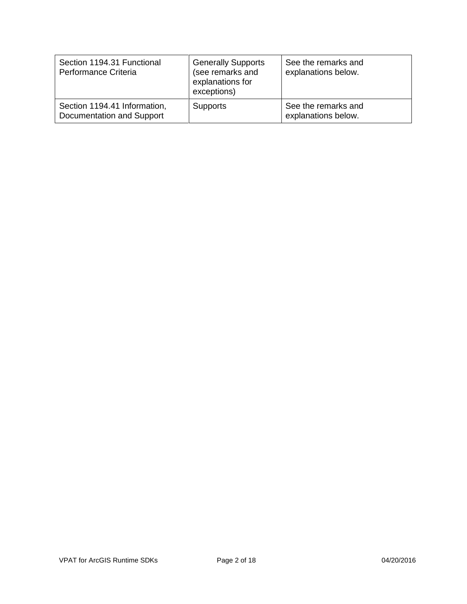| Section 1194.31 Functional<br>Performance Criteria        | <b>Generally Supports</b><br>(see remarks and<br>explanations for<br>exceptions) | See the remarks and<br>explanations below. |
|-----------------------------------------------------------|----------------------------------------------------------------------------------|--------------------------------------------|
| Section 1194.41 Information,<br>Documentation and Support | <b>Supports</b>                                                                  | See the remarks and<br>explanations below. |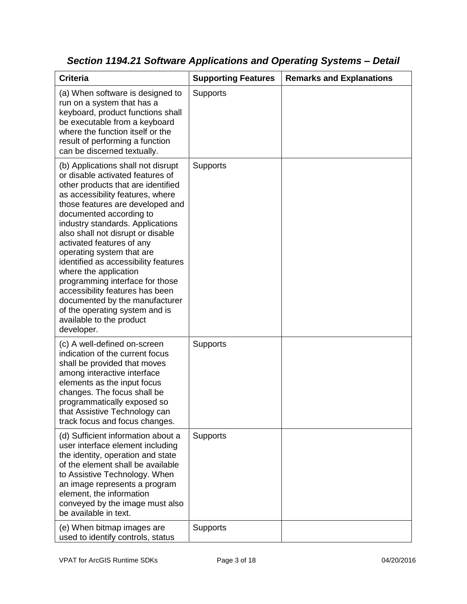| <b>Criteria</b>                                                                                                                                                                                                                                                                                                                                                                                                                                                                                                                                                                                         | <b>Supporting Features</b> | <b>Remarks and Explanations</b> |
|---------------------------------------------------------------------------------------------------------------------------------------------------------------------------------------------------------------------------------------------------------------------------------------------------------------------------------------------------------------------------------------------------------------------------------------------------------------------------------------------------------------------------------------------------------------------------------------------------------|----------------------------|---------------------------------|
| (a) When software is designed to<br>run on a system that has a<br>keyboard, product functions shall<br>be executable from a keyboard<br>where the function itself or the<br>result of performing a function<br>can be discerned textually.                                                                                                                                                                                                                                                                                                                                                              | <b>Supports</b>            |                                 |
| (b) Applications shall not disrupt<br>or disable activated features of<br>other products that are identified<br>as accessibility features, where<br>those features are developed and<br>documented according to<br>industry standards. Applications<br>also shall not disrupt or disable<br>activated features of any<br>operating system that are<br>identified as accessibility features<br>where the application<br>programming interface for those<br>accessibility features has been<br>documented by the manufacturer<br>of the operating system and is<br>available to the product<br>developer. | Supports                   |                                 |
| (c) A well-defined on-screen<br>indication of the current focus<br>shall be provided that moves<br>among interactive interface<br>elements as the input focus<br>changes. The focus shall be<br>programmatically exposed so<br>that Assistive Technology can<br>track focus and focus changes.                                                                                                                                                                                                                                                                                                          | <b>Supports</b>            |                                 |
| (d) Sufficient information about a<br>user interface element including<br>the identity, operation and state<br>of the element shall be available<br>to Assistive Technology. When<br>an image represents a program<br>element, the information<br>conveyed by the image must also<br>be available in text.                                                                                                                                                                                                                                                                                              | <b>Supports</b>            |                                 |
| (e) When bitmap images are<br>used to identify controls, status                                                                                                                                                                                                                                                                                                                                                                                                                                                                                                                                         | <b>Supports</b>            |                                 |

*Section 1194.21 Software Applications and Operating Systems – Detail*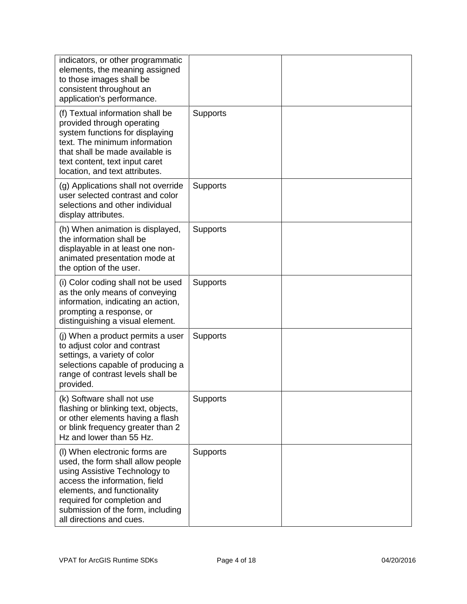| indicators, or other programmatic<br>elements, the meaning assigned<br>to those images shall be<br>consistent throughout an<br>application's performance.                                                                                                           |                 |  |
|---------------------------------------------------------------------------------------------------------------------------------------------------------------------------------------------------------------------------------------------------------------------|-----------------|--|
| (f) Textual information shall be<br>provided through operating<br>system functions for displaying<br>text. The minimum information<br>that shall be made available is<br>text content, text input caret<br>location, and text attributes.                           | <b>Supports</b> |  |
| (g) Applications shall not override<br>user selected contrast and color<br>selections and other individual<br>display attributes.                                                                                                                                   | <b>Supports</b> |  |
| (h) When animation is displayed,<br>the information shall be<br>displayable in at least one non-<br>animated presentation mode at<br>the option of the user.                                                                                                        | <b>Supports</b> |  |
| (i) Color coding shall not be used<br>as the only means of conveying<br>information, indicating an action,<br>prompting a response, or<br>distinguishing a visual element.                                                                                          | Supports        |  |
| (j) When a product permits a user<br>to adjust color and contrast<br>settings, a variety of color<br>selections capable of producing a<br>range of contrast levels shall be<br>provided.                                                                            | <b>Supports</b> |  |
| (k) Software shall not use<br>flashing or blinking text, objects,<br>or other elements having a flash<br>or blink frequency greater than 2<br>Hz and lower than 55 Hz.                                                                                              | <b>Supports</b> |  |
| (I) When electronic forms are<br>used, the form shall allow people<br>using Assistive Technology to<br>access the information, field<br>elements, and functionality<br>required for completion and<br>submission of the form, including<br>all directions and cues. | Supports        |  |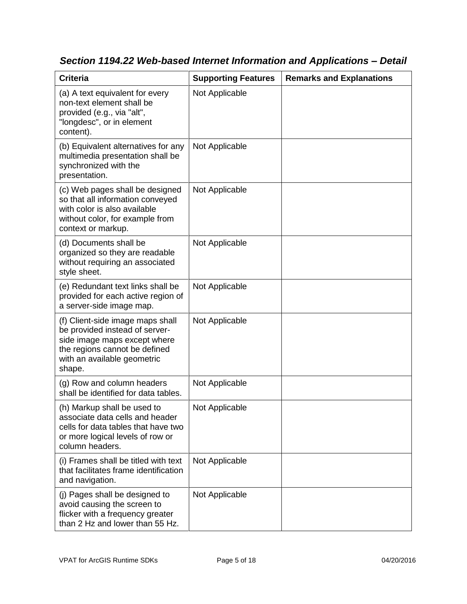| <b>Criteria</b>                                                                                                                                                              | <b>Supporting Features</b> | <b>Remarks and Explanations</b> |
|------------------------------------------------------------------------------------------------------------------------------------------------------------------------------|----------------------------|---------------------------------|
| (a) A text equivalent for every<br>non-text element shall be<br>provided (e.g., via "alt",<br>"longdesc", or in element<br>content).                                         | Not Applicable             |                                 |
| (b) Equivalent alternatives for any<br>multimedia presentation shall be<br>synchronized with the<br>presentation.                                                            | Not Applicable             |                                 |
| (c) Web pages shall be designed<br>so that all information conveyed<br>with color is also available<br>without color, for example from<br>context or markup.                 | Not Applicable             |                                 |
| (d) Documents shall be<br>organized so they are readable<br>without requiring an associated<br>style sheet.                                                                  | Not Applicable             |                                 |
| (e) Redundant text links shall be<br>provided for each active region of<br>a server-side image map.                                                                          | Not Applicable             |                                 |
| (f) Client-side image maps shall<br>be provided instead of server-<br>side image maps except where<br>the regions cannot be defined<br>with an available geometric<br>shape. | Not Applicable             |                                 |
| (g) Row and column headers<br>shall be identified for data tables.                                                                                                           | Not Applicable             |                                 |
| (h) Markup shall be used to<br>associate data cells and header<br>cells for data tables that have two<br>or more logical levels of row or<br>column headers.                 | Not Applicable             |                                 |
| (i) Frames shall be titled with text<br>that facilitates frame identification<br>and navigation.                                                                             | Not Applicable             |                                 |
| (j) Pages shall be designed to<br>avoid causing the screen to<br>flicker with a frequency greater<br>than 2 Hz and lower than 55 Hz.                                         | Not Applicable             |                                 |

*Section 1194.22 Web-based Internet Information and Applications – Detail*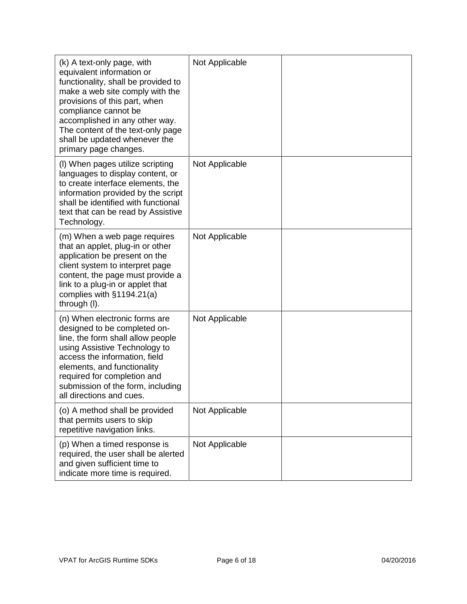| (k) A text-only page, with<br>equivalent information or<br>functionality, shall be provided to<br>make a web site comply with the<br>provisions of this part, when<br>compliance cannot be<br>accomplished in any other way.<br>The content of the text-only page<br>shall be updated whenever the<br>primary page changes. | Not Applicable |  |
|-----------------------------------------------------------------------------------------------------------------------------------------------------------------------------------------------------------------------------------------------------------------------------------------------------------------------------|----------------|--|
| (I) When pages utilize scripting<br>languages to display content, or<br>to create interface elements, the<br>information provided by the script<br>shall be identified with functional<br>text that can be read by Assistive<br>Technology.                                                                                 | Not Applicable |  |
| (m) When a web page requires<br>that an applet, plug-in or other<br>application be present on the<br>client system to interpret page<br>content, the page must provide a<br>link to a plug-in or applet that<br>complies with $§1194.21(a)$<br>through (I).                                                                 | Not Applicable |  |
| (n) When electronic forms are<br>designed to be completed on-<br>line, the form shall allow people<br>using Assistive Technology to<br>access the information, field<br>elements, and functionality<br>required for completion and<br>submission of the form, including<br>all directions and cues.                         | Not Applicable |  |
| (o) A method shall be provided<br>that permits users to skip<br>repetitive navigation links.                                                                                                                                                                                                                                | Not Applicable |  |
| (p) When a timed response is<br>required, the user shall be alerted<br>and given sufficient time to<br>indicate more time is required.                                                                                                                                                                                      | Not Applicable |  |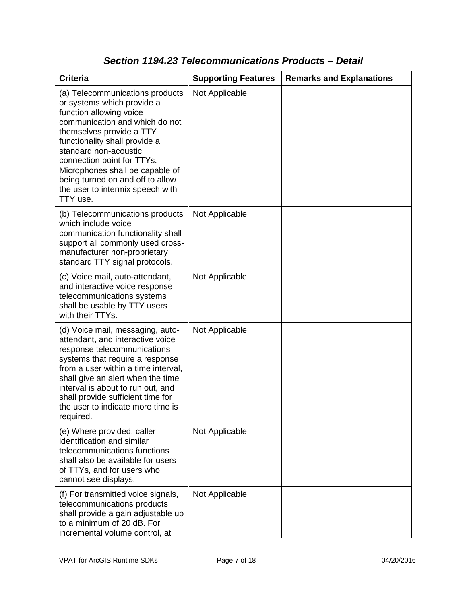| <b>Criteria</b>                                                                                                                                                                                                                                                                                                                                                       | <b>Supporting Features</b> | <b>Remarks and Explanations</b> |
|-----------------------------------------------------------------------------------------------------------------------------------------------------------------------------------------------------------------------------------------------------------------------------------------------------------------------------------------------------------------------|----------------------------|---------------------------------|
| (a) Telecommunications products<br>or systems which provide a<br>function allowing voice<br>communication and which do not<br>themselves provide a TTY<br>functionality shall provide a<br>standard non-acoustic<br>connection point for TTYs.<br>Microphones shall be capable of<br>being turned on and off to allow<br>the user to intermix speech with<br>TTY use. | Not Applicable             |                                 |
| (b) Telecommunications products<br>which include voice<br>communication functionality shall<br>support all commonly used cross-<br>manufacturer non-proprietary<br>standard TTY signal protocols.                                                                                                                                                                     | Not Applicable             |                                 |
| (c) Voice mail, auto-attendant,<br>and interactive voice response<br>telecommunications systems<br>shall be usable by TTY users<br>with their TTYs.                                                                                                                                                                                                                   | Not Applicable             |                                 |
| (d) Voice mail, messaging, auto-<br>attendant, and interactive voice<br>response telecommunications<br>systems that require a response<br>from a user within a time interval,<br>shall give an alert when the time<br>interval is about to run out, and<br>shall provide sufficient time for<br>the user to indicate more time is<br>required.                        | Not Applicable             |                                 |
| (e) Where provided, caller<br>identification and similar<br>telecommunications functions<br>shall also be available for users<br>of TTYs, and for users who<br>cannot see displays.                                                                                                                                                                                   | Not Applicable             |                                 |
| (f) For transmitted voice signals,<br>telecommunications products<br>shall provide a gain adjustable up<br>to a minimum of 20 dB. For<br>incremental volume control, at                                                                                                                                                                                               | Not Applicable             |                                 |

### *Section 1194.23 Telecommunications Products – Detail*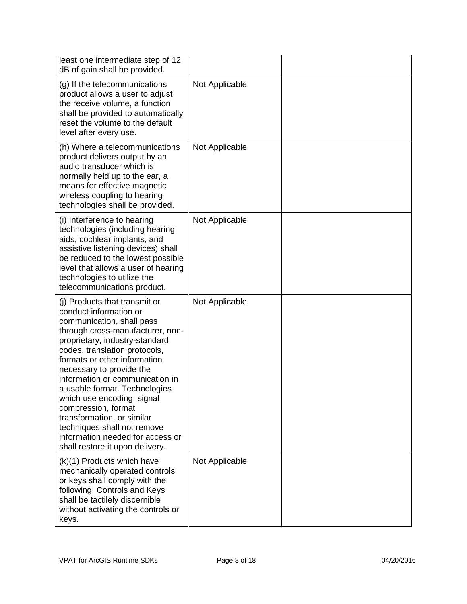| least one intermediate step of 12<br>dB of gain shall be provided.                                                                                                                                                                                                                                                                                                                                                                                                                                                   |                |  |
|----------------------------------------------------------------------------------------------------------------------------------------------------------------------------------------------------------------------------------------------------------------------------------------------------------------------------------------------------------------------------------------------------------------------------------------------------------------------------------------------------------------------|----------------|--|
| (g) If the telecommunications<br>product allows a user to adjust<br>the receive volume, a function<br>shall be provided to automatically<br>reset the volume to the default<br>level after every use.                                                                                                                                                                                                                                                                                                                | Not Applicable |  |
| (h) Where a telecommunications<br>product delivers output by an<br>audio transducer which is<br>normally held up to the ear, a<br>means for effective magnetic<br>wireless coupling to hearing<br>technologies shall be provided.                                                                                                                                                                                                                                                                                    | Not Applicable |  |
| (i) Interference to hearing<br>technologies (including hearing<br>aids, cochlear implants, and<br>assistive listening devices) shall<br>be reduced to the lowest possible<br>level that allows a user of hearing<br>technologies to utilize the<br>telecommunications product.                                                                                                                                                                                                                                       | Not Applicable |  |
| (i) Products that transmit or<br>conduct information or<br>communication, shall pass<br>through cross-manufacturer, non-<br>proprietary, industry-standard<br>codes, translation protocols,<br>formats or other information<br>necessary to provide the<br>information or communication in<br>a usable format. Technologies<br>which use encoding, signal<br>compression, format<br>transformation, or similar<br>techniques shall not remove<br>information needed for access or<br>shall restore it upon delivery. | Not Applicable |  |
| (k)(1) Products which have<br>mechanically operated controls<br>or keys shall comply with the<br>following: Controls and Keys<br>shall be tactilely discernible<br>without activating the controls or<br>keys.                                                                                                                                                                                                                                                                                                       | Not Applicable |  |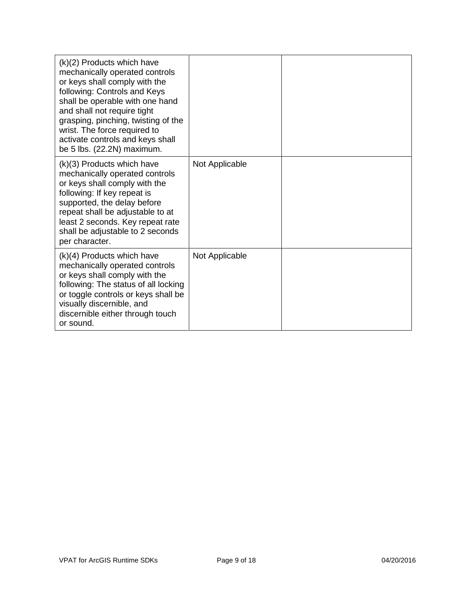| (k)(2) Products which have<br>mechanically operated controls<br>or keys shall comply with the<br>following: Controls and Keys<br>shall be operable with one hand<br>and shall not require tight<br>grasping, pinching, twisting of the<br>wrist. The force required to<br>activate controls and keys shall<br>be 5 lbs. (22.2N) maximum. |                |  |
|------------------------------------------------------------------------------------------------------------------------------------------------------------------------------------------------------------------------------------------------------------------------------------------------------------------------------------------|----------------|--|
| (k)(3) Products which have<br>mechanically operated controls<br>or keys shall comply with the<br>following: If key repeat is<br>supported, the delay before<br>repeat shall be adjustable to at<br>least 2 seconds. Key repeat rate<br>shall be adjustable to 2 seconds<br>per character.                                                | Not Applicable |  |
| $(k)(4)$ Products which have<br>mechanically operated controls<br>or keys shall comply with the<br>following: The status of all locking<br>or toggle controls or keys shall be<br>visually discernible, and<br>discernible either through touch<br>or sound.                                                                             | Not Applicable |  |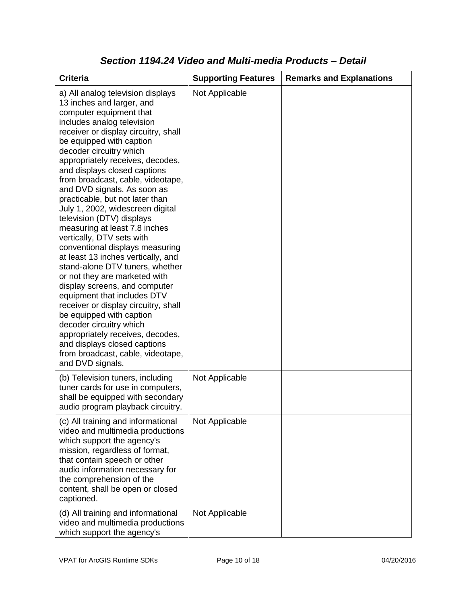| <b>Criteria</b>                                                                                                                                                                                                                                                                                                                                                                                                                                                                                                                                                                                                                                                                                                                                                                                                                                                                                                                                                           | <b>Supporting Features</b> | <b>Remarks and Explanations</b> |
|---------------------------------------------------------------------------------------------------------------------------------------------------------------------------------------------------------------------------------------------------------------------------------------------------------------------------------------------------------------------------------------------------------------------------------------------------------------------------------------------------------------------------------------------------------------------------------------------------------------------------------------------------------------------------------------------------------------------------------------------------------------------------------------------------------------------------------------------------------------------------------------------------------------------------------------------------------------------------|----------------------------|---------------------------------|
| a) All analog television displays<br>13 inches and larger, and<br>computer equipment that<br>includes analog television<br>receiver or display circuitry, shall<br>be equipped with caption<br>decoder circuitry which<br>appropriately receives, decodes,<br>and displays closed captions<br>from broadcast, cable, videotape,<br>and DVD signals. As soon as<br>practicable, but not later than<br>July 1, 2002, widescreen digital<br>television (DTV) displays<br>measuring at least 7.8 inches<br>vertically, DTV sets with<br>conventional displays measuring<br>at least 13 inches vertically, and<br>stand-alone DTV tuners, whether<br>or not they are marketed with<br>display screens, and computer<br>equipment that includes DTV<br>receiver or display circuitry, shall<br>be equipped with caption<br>decoder circuitry which<br>appropriately receives, decodes,<br>and displays closed captions<br>from broadcast, cable, videotape,<br>and DVD signals. | Not Applicable             |                                 |
| (b) Television tuners, including<br>tuner cards for use in computers,<br>shall be equipped with secondary<br>audio program playback circuitry.                                                                                                                                                                                                                                                                                                                                                                                                                                                                                                                                                                                                                                                                                                                                                                                                                            | Not Applicable             |                                 |
| (c) All training and informational<br>video and multimedia productions<br>which support the agency's<br>mission, regardless of format,<br>that contain speech or other<br>audio information necessary for<br>the comprehension of the<br>content, shall be open or closed<br>captioned.                                                                                                                                                                                                                                                                                                                                                                                                                                                                                                                                                                                                                                                                                   | Not Applicable             |                                 |
| (d) All training and informational<br>video and multimedia productions<br>which support the agency's                                                                                                                                                                                                                                                                                                                                                                                                                                                                                                                                                                                                                                                                                                                                                                                                                                                                      | Not Applicable             |                                 |

#### *Section 1194.24 Video and Multi-media Products – Detail*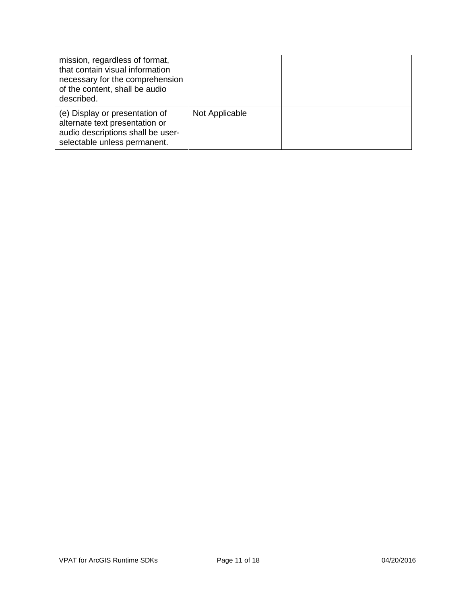| mission, regardless of format,<br>that contain visual information<br>necessary for the comprehension<br>of the content, shall be audio<br>described. |                |  |
|------------------------------------------------------------------------------------------------------------------------------------------------------|----------------|--|
| (e) Display or presentation of<br>alternate text presentation or<br>audio descriptions shall be user-<br>selectable unless permanent.                | Not Applicable |  |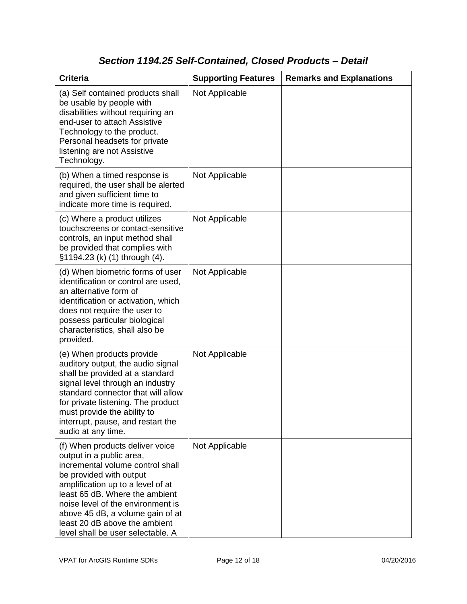### *Section 1194.25 Self-Contained, Closed Products – Detail*

| <b>Criteria</b>                                                                                                                                                                                                                                                                                                                                  | <b>Supporting Features</b> | <b>Remarks and Explanations</b> |
|--------------------------------------------------------------------------------------------------------------------------------------------------------------------------------------------------------------------------------------------------------------------------------------------------------------------------------------------------|----------------------------|---------------------------------|
| (a) Self contained products shall<br>be usable by people with<br>disabilities without requiring an<br>end-user to attach Assistive<br>Technology to the product.<br>Personal headsets for private<br>listening are not Assistive<br>Technology.                                                                                                  | Not Applicable             |                                 |
| (b) When a timed response is<br>required, the user shall be alerted<br>and given sufficient time to<br>indicate more time is required.                                                                                                                                                                                                           | Not Applicable             |                                 |
| (c) Where a product utilizes<br>touchscreens or contact-sensitive<br>controls, an input method shall<br>be provided that complies with<br>§1194.23 (k) (1) through (4).                                                                                                                                                                          | Not Applicable             |                                 |
| (d) When biometric forms of user<br>identification or control are used,<br>an alternative form of<br>identification or activation, which<br>does not require the user to<br>possess particular biological<br>characteristics, shall also be<br>provided.                                                                                         | Not Applicable             |                                 |
| (e) When products provide<br>auditory output, the audio signal<br>shall be provided at a standard<br>signal level through an industry<br>standard connector that will allow<br>for private listening. The product<br>must provide the ability to<br>interrupt, pause, and restart the<br>audio at any time.                                      | Not Applicable             |                                 |
| (f) When products deliver voice<br>output in a public area,<br>incremental volume control shall<br>be provided with output<br>amplification up to a level of at<br>least 65 dB. Where the ambient<br>noise level of the environment is<br>above 45 dB, a volume gain of at<br>least 20 dB above the ambient<br>level shall be user selectable. A | Not Applicable             |                                 |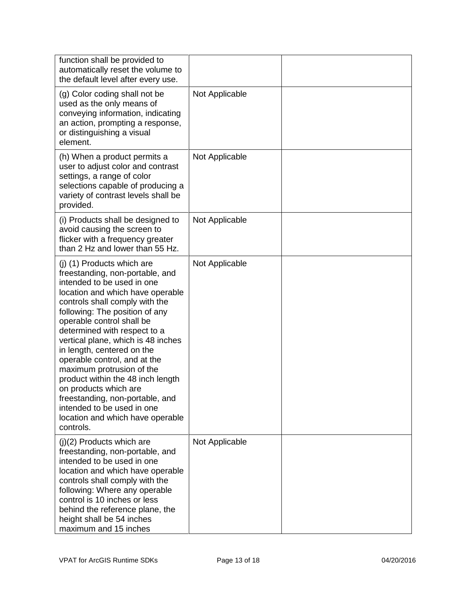| function shall be provided to<br>automatically reset the volume to<br>the default level after every use.                                                                                                                                                                                                                                                                                                                                                                                                                                                                          |                |  |
|-----------------------------------------------------------------------------------------------------------------------------------------------------------------------------------------------------------------------------------------------------------------------------------------------------------------------------------------------------------------------------------------------------------------------------------------------------------------------------------------------------------------------------------------------------------------------------------|----------------|--|
| (g) Color coding shall not be<br>used as the only means of<br>conveying information, indicating<br>an action, prompting a response,<br>or distinguishing a visual<br>element.                                                                                                                                                                                                                                                                                                                                                                                                     | Not Applicable |  |
| (h) When a product permits a<br>user to adjust color and contrast<br>settings, a range of color<br>selections capable of producing a<br>variety of contrast levels shall be<br>provided.                                                                                                                                                                                                                                                                                                                                                                                          | Not Applicable |  |
| (i) Products shall be designed to<br>avoid causing the screen to<br>flicker with a frequency greater<br>than 2 Hz and lower than 55 Hz.                                                                                                                                                                                                                                                                                                                                                                                                                                           | Not Applicable |  |
| (j) (1) Products which are<br>freestanding, non-portable, and<br>intended to be used in one<br>location and which have operable<br>controls shall comply with the<br>following: The position of any<br>operable control shall be<br>determined with respect to a<br>vertical plane, which is 48 inches<br>in length, centered on the<br>operable control, and at the<br>maximum protrusion of the<br>product within the 48 inch length<br>on products which are<br>freestanding, non-portable, and<br>intended to be used in one<br>location and which have operable<br>controls. | Not Applicable |  |
| (j)(2) Products which are<br>freestanding, non-portable, and<br>intended to be used in one<br>location and which have operable<br>controls shall comply with the<br>following: Where any operable<br>control is 10 inches or less<br>behind the reference plane, the<br>height shall be 54 inches<br>maximum and 15 inches                                                                                                                                                                                                                                                        | Not Applicable |  |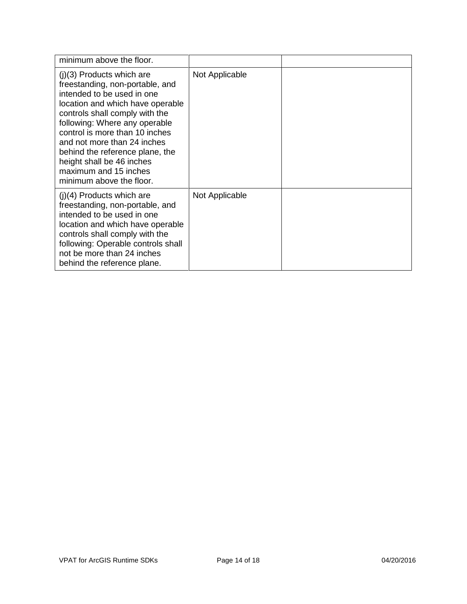| minimum above the floor.                                                                                                                                                                                                                                                                                                                                                                  |                |  |
|-------------------------------------------------------------------------------------------------------------------------------------------------------------------------------------------------------------------------------------------------------------------------------------------------------------------------------------------------------------------------------------------|----------------|--|
| $(j)(3)$ Products which are<br>freestanding, non-portable, and<br>intended to be used in one<br>location and which have operable<br>controls shall comply with the<br>following: Where any operable<br>control is more than 10 inches<br>and not more than 24 inches<br>behind the reference plane, the<br>height shall be 46 inches<br>maximum and 15 inches<br>minimum above the floor. | Not Applicable |  |
| $(i)(4)$ Products which are<br>freestanding, non-portable, and<br>intended to be used in one<br>location and which have operable<br>controls shall comply with the<br>following: Operable controls shall<br>not be more than 24 inches<br>behind the reference plane.                                                                                                                     | Not Applicable |  |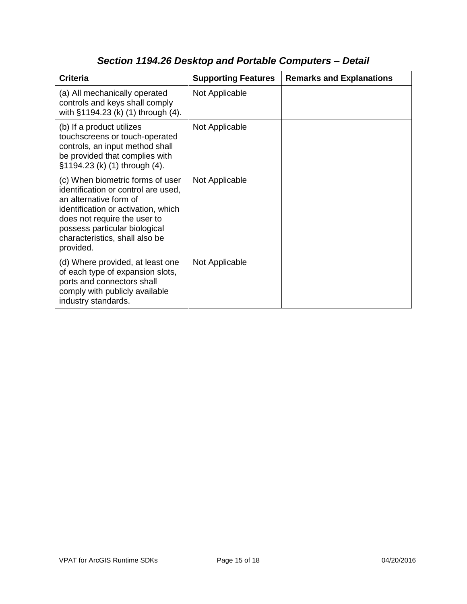| <b>Criteria</b>                                                                                                                                                                                                                                          | <b>Supporting Features</b> | <b>Remarks and Explanations</b> |
|----------------------------------------------------------------------------------------------------------------------------------------------------------------------------------------------------------------------------------------------------------|----------------------------|---------------------------------|
| (a) All mechanically operated<br>controls and keys shall comply<br>with §1194.23 (k) (1) through (4).                                                                                                                                                    | Not Applicable             |                                 |
| (b) If a product utilizes<br>touchscreens or touch-operated<br>controls, an input method shall<br>be provided that complies with<br>§1194.23 (k) (1) through (4).                                                                                        | Not Applicable             |                                 |
| (c) When biometric forms of user<br>identification or control are used,<br>an alternative form of<br>identification or activation, which<br>does not require the user to<br>possess particular biological<br>characteristics, shall also be<br>provided. | Not Applicable             |                                 |
| (d) Where provided, at least one<br>of each type of expansion slots,<br>ports and connectors shall<br>comply with publicly available<br>industry standards.                                                                                              | Not Applicable             |                                 |

# *Section 1194.26 Desktop and Portable Computers – Detail*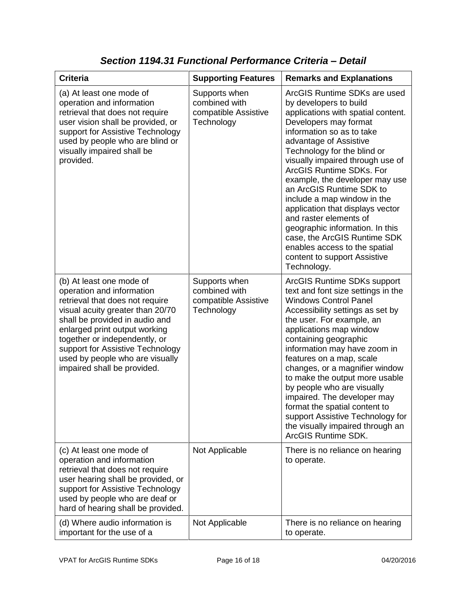| <b>Criteria</b>                                                                                                                                                                                                                                                                                                                        | <b>Supporting Features</b>                                           | <b>Remarks and Explanations</b>                                                                                                                                                                                                                                                                                                                                                                                                                                                                                                                                                           |
|----------------------------------------------------------------------------------------------------------------------------------------------------------------------------------------------------------------------------------------------------------------------------------------------------------------------------------------|----------------------------------------------------------------------|-------------------------------------------------------------------------------------------------------------------------------------------------------------------------------------------------------------------------------------------------------------------------------------------------------------------------------------------------------------------------------------------------------------------------------------------------------------------------------------------------------------------------------------------------------------------------------------------|
| (a) At least one mode of<br>operation and information<br>retrieval that does not require<br>user vision shall be provided, or<br>support for Assistive Technology<br>used by people who are blind or<br>visually impaired shall be<br>provided.                                                                                        | Supports when<br>combined with<br>compatible Assistive<br>Technology | ArcGIS Runtime SDKs are used<br>by developers to build<br>applications with spatial content.<br>Developers may format<br>information so as to take<br>advantage of Assistive<br>Technology for the blind or<br>visually impaired through use of<br>ArcGIS Runtime SDKs, For<br>example, the developer may use<br>an ArcGIS Runtime SDK to<br>include a map window in the<br>application that displays vector<br>and raster elements of<br>geographic information. In this<br>case, the ArcGIS Runtime SDK<br>enables access to the spatial<br>content to support Assistive<br>Technology. |
| (b) At least one mode of<br>operation and information<br>retrieval that does not require<br>visual acuity greater than 20/70<br>shall be provided in audio and<br>enlarged print output working<br>together or independently, or<br>support for Assistive Technology<br>used by people who are visually<br>impaired shall be provided. | Supports when<br>combined with<br>compatible Assistive<br>Technology | ArcGIS Runtime SDKs support<br>text and font size settings in the<br><b>Windows Control Panel</b><br>Accessibility settings as set by<br>the user. For example, an<br>applications map window<br>containing geographic<br>information may have zoom in<br>features on a map, scale<br>changes, or a magnifier window<br>to make the output more usable<br>by people who are visually<br>impaired. The developer may<br>format the spatial content to<br>support Assistive Technology for<br>the visually impaired through an<br>ArcGIS Runtime SDK.                                       |
| (c) At least one mode of<br>operation and information<br>retrieval that does not require<br>user hearing shall be provided, or<br>support for Assistive Technology<br>used by people who are deaf or<br>hard of hearing shall be provided.                                                                                             | Not Applicable                                                       | There is no reliance on hearing<br>to operate.                                                                                                                                                                                                                                                                                                                                                                                                                                                                                                                                            |
| (d) Where audio information is<br>important for the use of a                                                                                                                                                                                                                                                                           | Not Applicable                                                       | There is no reliance on hearing<br>to operate.                                                                                                                                                                                                                                                                                                                                                                                                                                                                                                                                            |

*Section 1194.31 Functional Performance Criteria – Detail*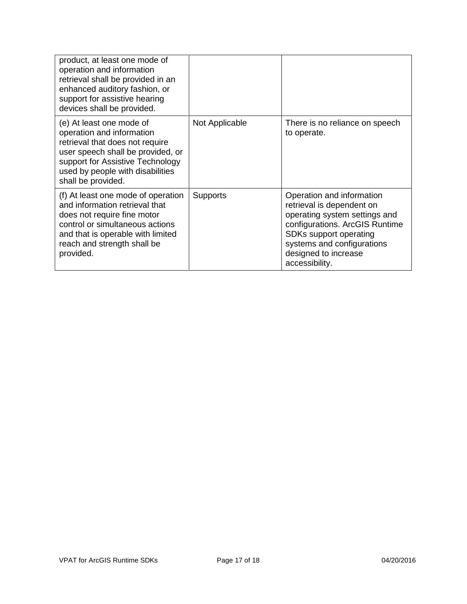| product, at least one mode of<br>operation and information<br>retrieval shall be provided in an<br>enhanced auditory fashion, or<br>support for assistive hearing<br>devices shall be provided.                             |                 |                                                                                                                                                                                                                             |
|-----------------------------------------------------------------------------------------------------------------------------------------------------------------------------------------------------------------------------|-----------------|-----------------------------------------------------------------------------------------------------------------------------------------------------------------------------------------------------------------------------|
| (e) At least one mode of<br>operation and information<br>retrieval that does not require<br>user speech shall be provided, or<br>support for Assistive Technology<br>used by people with disabilities<br>shall be provided. | Not Applicable  | There is no reliance on speech<br>to operate.                                                                                                                                                                               |
| (f) At least one mode of operation<br>and information retrieval that<br>does not require fine motor<br>control or simultaneous actions<br>and that is operable with limited<br>reach and strength shall be<br>provided.     | <b>Supports</b> | Operation and information<br>retrieval is dependent on<br>operating system settings and<br>configurations. ArcGIS Runtime<br>SDKs support operating<br>systems and configurations<br>designed to increase<br>accessibility. |